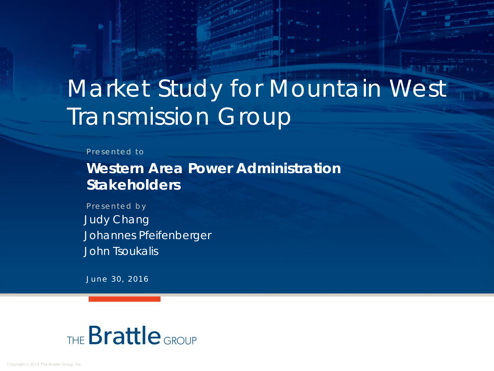# Market Study for Mountain West Transmission Group

#### Presented to

**Western Area Power Administration Stakeholders** 

Presented by Judy Chang Johannes Pfeifenberger John Tsoukalis

June 30, 2016

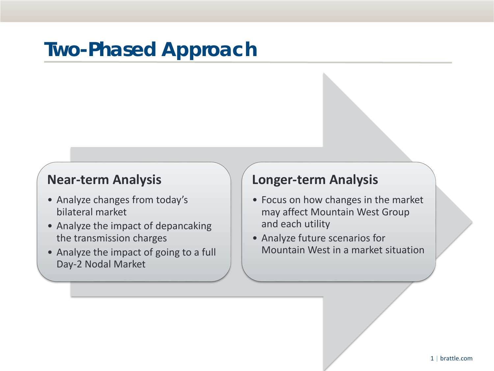### **Two-Phased Approach**

#### **Near-term Analysis**

- Analyze changes from today's bilateral market
- Analyze the impact of depancaking the transmission charges
- Analyze the impact of going to a full Day-2 Nodal Market

#### **Longer-term Analysis**

- Focus on how changes in the market may affect Mountain West Group and each utility
- Analyze future scenarios for Mountain West in a market situation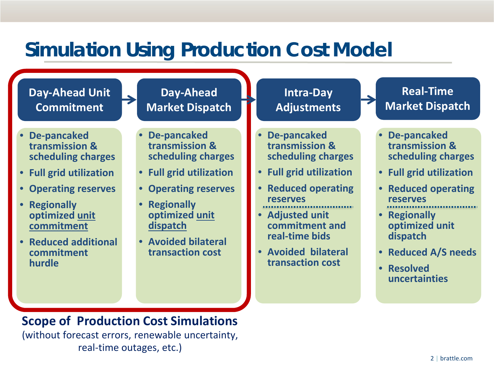#### **Simulation Using Production Cost Model**

#### • **De-pancaked transmission & scheduling charges** • **Full grid utilization** • **Operating reserves** • **Regionally optimized unit commitment** • **Reduced additional commitment hurdle Day-Ahead Unit Commitment Day-Ahead Market Dispatch Intra-Day Adjustments Real-Time Market Dispatch** • **De-pancaked transmission & scheduling charges** • **Full grid utilization** • **Operating reserves** • **Regionally optimized unit dispatch** • **Avoided bilateral transaction cost** • **De-pancaked transmission & scheduling charges** • **Full grid utilization** • **Reduced operating reserves** • **Adjusted unit commitment and real-time bids** • **Avoided bilateral transaction cost** • **De-pancaked transmission & scheduling charges** • **Full grid utilization** • **Reduced operating reserves** • **Regionally optimized unit dispatch** • **Reduced A/S needs** • **Resolved uncertainties**

**Scope of Production Cost Simulations** (without forecast errors, renewable uncertainty, real-time outages, etc.)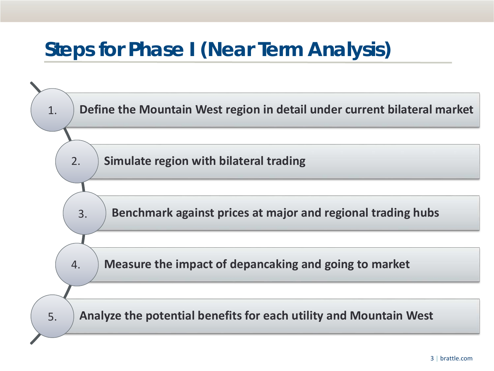### **Steps for Phase I (Near Term Analysis)**

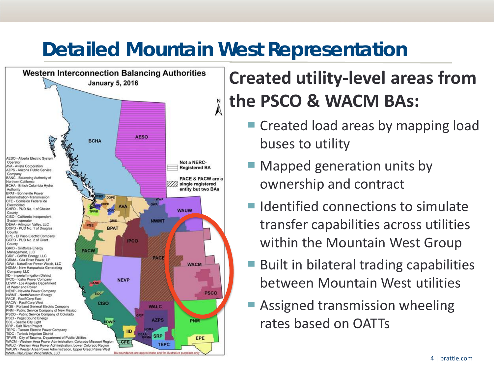# **Detailed Mountain West Representation**



# **Created utility-level areas from the PSCO & WACM BAs:**

- Created load areas by mapping load buses to utility
- Mapped generation units by ownership and contract
- $\blacksquare$  Identified connections to simulate transfer capabilities across utilities within the Mountain West Group
- Built in bilateral trading capabilities between Mountain West utilities
- Assigned transmission wheeling rates based on OATTs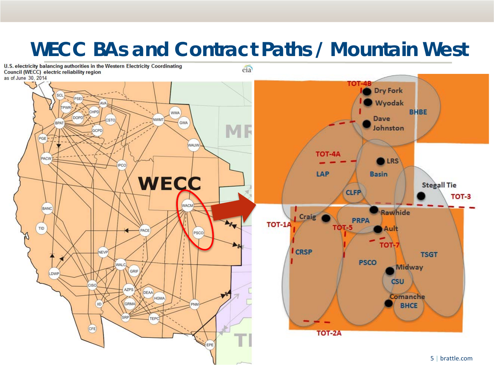### **WECC BAs and Contract Paths / Mountain West**

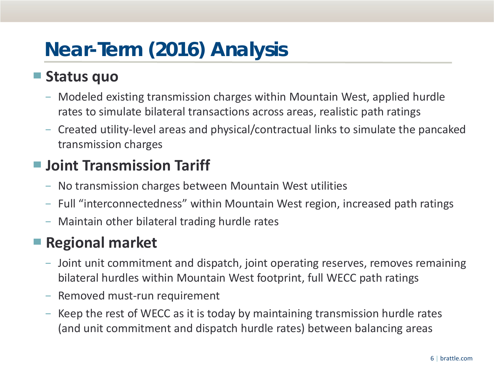## **Near-Term (2016) Analysis**

#### ▀ **Status quo**

- − Modeled existing transmission charges within Mountain West, applied hurdle rates to simulate bilateral transactions across areas, realistic path ratings
- − Created utility-level areas and physical/contractual links to simulate the pancaked transmission charges

#### ■ **Joint Transmission Tariff**

- − No transmission charges between Mountain West utilities
- − Full "interconnectedness" within Mountain West region, increased path ratings
- − Maintain other bilateral trading hurdle rates

#### ■ **Regional market**

- − Joint unit commitment and dispatch, joint operating reserves, removes remaining bilateral hurdles within Mountain West footprint, full WECC path ratings
- − Removed must-run requirement
- − Keep the rest of WECC as it is today by maintaining transmission hurdle rates (and unit commitment and dispatch hurdle rates) between balancing areas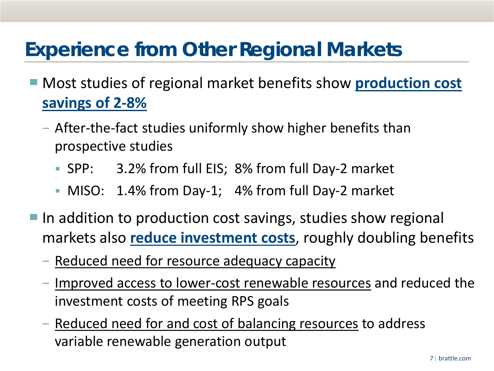### **Experience from Other Regional Markets**

- Most studies of regional market benefits show **production cost savings of 2-8%**
	- − After-the-fact studies uniformly show higher benefits than prospective studies
		- SPP: 3.2% from full EIS; 8% from full Day-2 market
		- MISO: 1.4% from Day-1; 4% from full Day-2 market
- In addition to production cost savings, studies show regional markets also **reduce investment costs**, roughly doubling benefits
	- − Reduced need for resource adequacy capacity
	- − Improved access to lower-cost renewable resources and reduced the investment costs of meeting RPS goals
	- − Reduced need for and cost of balancing resources to address variable renewable generation output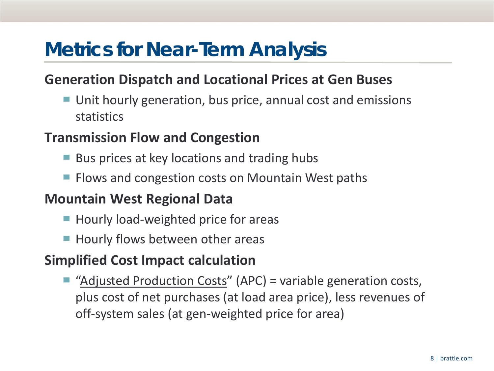### **Metrics for Near-Term Analysis**

#### **Generation Dispatch and Locational Prices at Gen Buses**

■ Unit hourly generation, bus price, annual cost and emissions statistics

#### **Transmission Flow and Congestion**

- Bus prices at key locations and trading hubs
- Flows and congestion costs on Mountain West paths

#### **Mountain West Regional Data**

- Hourly load-weighted price for areas
- Hourly flows between other areas

#### **Simplified Cost Impact calculation**

"Adjusted Production Costs" (APC) = variable generation costs, plus cost of net purchases (at load area price), less revenues of off-system sales (at gen-weighted price for area)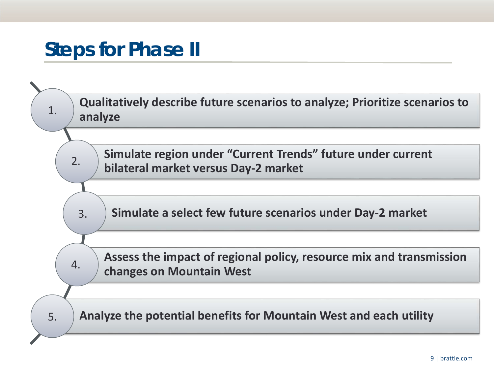### **Steps for Phase II**

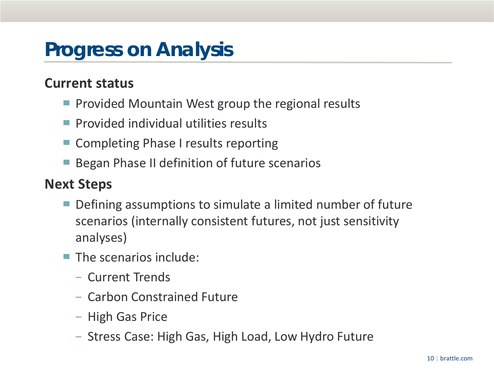#### **Progress on Analysis**

#### **Current status**

- Provided Mountain West group the regional results
- Provided individual utilities results
- Completing Phase I results reporting
- Began Phase II definition of future scenarios

#### **Next Steps**

- Defining assumptions to simulate a limited number of future scenarios (internally consistent futures, not just sensitivity analyses)
- $\blacksquare$  The scenarios include:
	- − Current Trends
	- − Carbon Constrained Future
	- − High Gas Price
	- − Stress Case: High Gas, High Load, Low Hydro Future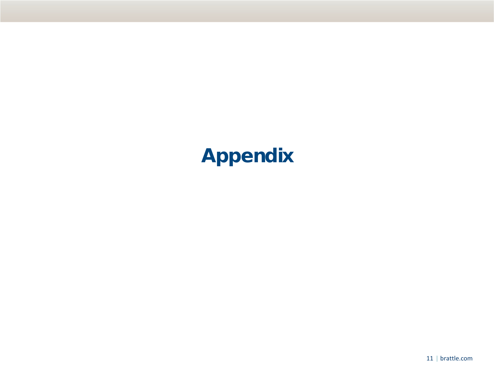## **Appendix**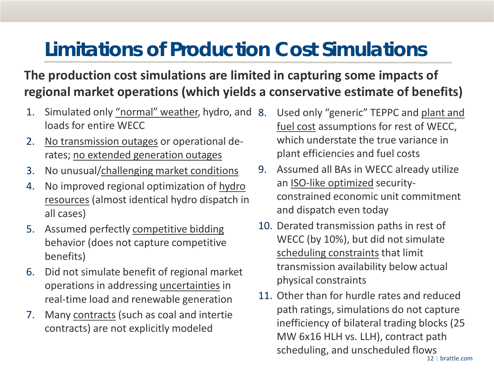# **Limitations of Production Cost Simulations**

#### **The production cost simulations are limited in capturing some impacts of regional market operations (which yields a conservative estimate of benefits)**

- 1. Simulated only "normal" weather, hydro, and loads for entire WECC
- 2. No transmission outages or operational derates; no extended generation outages
- 3. No unusual/challenging market conditions
- 4. No improved regional optimization of hydro resources (almost identical hydro dispatch in all cases)
- 5. Assumed perfectly competitive bidding behavior (does not capture competitive benefits)
- 6. Did not simulate benefit of regional market operations in addressing uncertainties in real-time load and renewable generation
- 7. Many contracts (such as coal and intertie contracts) are not explicitly modeled
- Used only "generic" TEPPC and plant and fuel cost assumptions for rest of WECC, which understate the true variance in plant efficiencies and fuel costs
- 9. Assumed all BAs in WECC already utilize an ISO-like optimized securityconstrained economic unit commitment and dispatch even today
- 10. Derated transmission paths in rest of WECC (by 10%), but did not simulate scheduling constraints that limit transmission availability below actual physical constraints
- 12 | brattle.com 11. Other than for hurdle rates and reduced path ratings, simulations do not capture inefficiency of bilateral trading blocks (25 MW 6x16 HLH vs. LLH), contract path scheduling, and unscheduled flows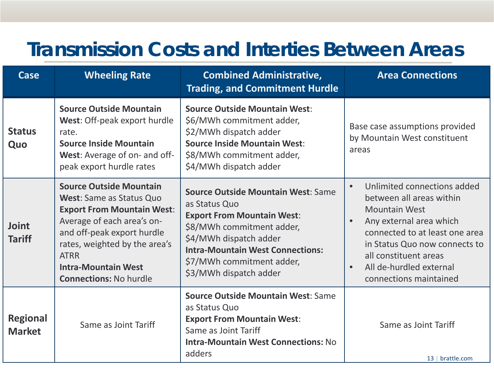### **Transmission Costs and Interties Between Areas**

| Case                             | <b>Wheeling Rate</b>                                                                                                                                                                                                                                                              | <b>Combined Administrative,</b><br><b>Trading, and Commitment Hurdle</b>                                                                                                                                                                                 | <b>Area Connections</b>                                                                                                                                                                                                                                                               |
|----------------------------------|-----------------------------------------------------------------------------------------------------------------------------------------------------------------------------------------------------------------------------------------------------------------------------------|----------------------------------------------------------------------------------------------------------------------------------------------------------------------------------------------------------------------------------------------------------|---------------------------------------------------------------------------------------------------------------------------------------------------------------------------------------------------------------------------------------------------------------------------------------|
| <b>Status</b><br>Quo             | <b>Source Outside Mountain</b><br>West: Off-peak export hurdle<br>rate.<br><b>Source Inside Mountain</b><br>West: Average of on- and off-<br>peak export hurdle rates                                                                                                             | <b>Source Outside Mountain West:</b><br>\$6/MWh commitment adder,<br>\$2/MWh dispatch adder<br><b>Source Inside Mountain West:</b><br>\$8/MWh commitment adder,<br>\$4/MWh dispatch adder                                                                | Base case assumptions provided<br>by Mountain West constituent<br>areas                                                                                                                                                                                                               |
| Joint<br><b>Tariff</b>           | <b>Source Outside Mountain</b><br><b>West:</b> Same as Status Quo<br><b>Export From Mountain West:</b><br>Average of each area's on-<br>and off-peak export hurdle<br>rates, weighted by the area's<br><b>ATRR</b><br><b>Intra-Mountain West</b><br><b>Connections: No hurdle</b> | <b>Source Outside Mountain West: Same</b><br>as Status Quo<br><b>Export From Mountain West:</b><br>\$8/MWh commitment adder,<br>\$4/MWh dispatch adder<br><b>Intra-Mountain West Connections:</b><br>\$7/MWh commitment adder,<br>\$3/MWh dispatch adder | Unlimited connections added<br>$\bullet$<br>between all areas within<br><b>Mountain West</b><br>Any external area which<br>connected to at least one area<br>in Status Quo now connects to<br>all constituent areas<br>All de-hurdled external<br>$\bullet$<br>connections maintained |
| <b>Regional</b><br><b>Market</b> | Same as Joint Tariff                                                                                                                                                                                                                                                              | <b>Source Outside Mountain West: Same</b><br>as Status Quo<br><b>Export From Mountain West:</b><br>Same as Joint Tariff<br><b>Intra-Mountain West Connections: No</b><br>adders                                                                          | Same as Joint Tariff<br>13   brattle.com                                                                                                                                                                                                                                              |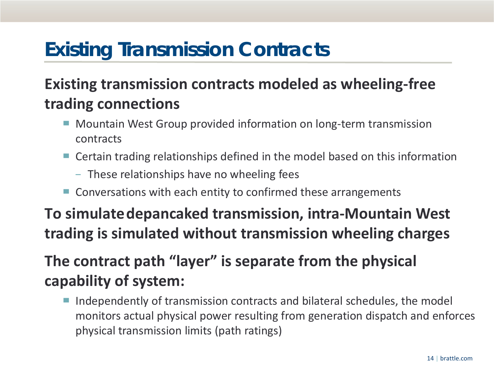## **Existing Transmission Contracts**

#### **Existing transmission contracts modeled as wheeling-free trading connections**

- Mountain West Group provided information on long-term transmission contracts
- Certain trading relationships defined in the model based on this information
	- − These relationships have no wheeling fees
- Conversations with each entity to confirmed these arrangements

**To simulate depancaked transmission, intra-Mountain West trading is simulated without transmission wheeling charges**

#### **The contract path "layer" is separate from the physical capability of system:**

Independently of transmission contracts and bilateral schedules, the model monitors actual physical power resulting from generation dispatch and enforces physical transmission limits (path ratings)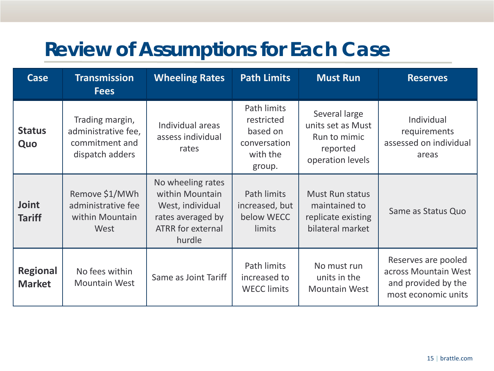## **Review of Assumptions for Each Case**

| Case                             | <b>Transmission</b><br><b>Fees</b>                                          | <b>Wheeling Rates</b>                                                                                               | <b>Path Limits</b>                                                          | <b>Must Run</b>                                                                    | <b>Reserves</b>                                                                           |
|----------------------------------|-----------------------------------------------------------------------------|---------------------------------------------------------------------------------------------------------------------|-----------------------------------------------------------------------------|------------------------------------------------------------------------------------|-------------------------------------------------------------------------------------------|
| <b>Status</b><br>Quo             | Trading margin,<br>administrative fee,<br>commitment and<br>dispatch adders | Individual areas<br>assess individual<br>rates                                                                      | Path limits<br>restricted<br>based on<br>conversation<br>with the<br>group. | Several large<br>units set as Must<br>Run to mimic<br>reported<br>operation levels | Individual<br>requirements<br>assessed on individual<br>areas                             |
| <b>Joint</b><br><b>Tariff</b>    | Remove \$1/MWh<br>administrative fee<br>within Mountain<br>West             | No wheeling rates<br>within Mountain<br>West, individual<br>rates averaged by<br><b>ATRR</b> for external<br>hurdle | Path limits<br>increased, but<br>below WECC<br>limits                       | <b>Must Run status</b><br>maintained to<br>replicate existing<br>bilateral market  | Same as Status Quo                                                                        |
| <b>Regional</b><br><b>Market</b> | No fees within<br><b>Mountain West</b>                                      | Same as Joint Tariff                                                                                                | Path limits<br>increased to<br><b>WECC limits</b>                           | No must run<br>units in the<br><b>Mountain West</b>                                | Reserves are pooled<br>across Mountain West<br>and provided by the<br>most economic units |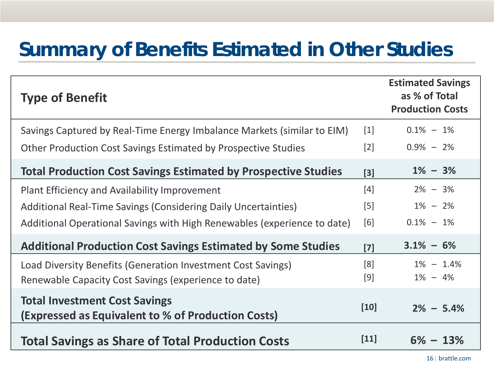### **Summary of Benefits Estimated in Other Studies**

| <b>Type of Benefit</b>                                                                     |        | <b>Estimated Savings</b><br>as % of Total<br><b>Production Costs</b> |
|--------------------------------------------------------------------------------------------|--------|----------------------------------------------------------------------|
| Savings Captured by Real-Time Energy Imbalance Markets (similar to EIM)                    | $[1]$  | $0.1\% - 1\%$                                                        |
| Other Production Cost Savings Estimated by Prospective Studies                             | $[2]$  | $0.9\% - 2\%$                                                        |
| <b>Total Production Cost Savings Estimated by Prospective Studies</b>                      | $[3]$  | $1\% - 3\%$                                                          |
| Plant Efficiency and Availability Improvement                                              | $[4]$  | $2\% - 3\%$                                                          |
| Additional Real-Time Savings (Considering Daily Uncertainties)                             | $[5]$  | $1\% - 2\%$                                                          |
| Additional Operational Savings with High Renewables (experience to date)                   | [6]    | $0.1\% - 1\%$                                                        |
| <b>Additional Production Cost Savings Estimated by Some Studies</b>                        | $[7]$  | $3.1\% - 6\%$                                                        |
| Load Diversity Benefits (Generation Investment Cost Savings)                               | [8]    | $1\% - 1.4\%$                                                        |
| Renewable Capacity Cost Savings (experience to date)                                       | $[9]$  | $1\% - 4\%$                                                          |
| <b>Total Investment Cost Savings</b><br>(Expressed as Equivalent to % of Production Costs) | $[10]$ | $2\% - 5.4\%$                                                        |
| <b>Total Savings as Share of Total Production Costs</b>                                    | $[11]$ | $6\% - 13\%$                                                         |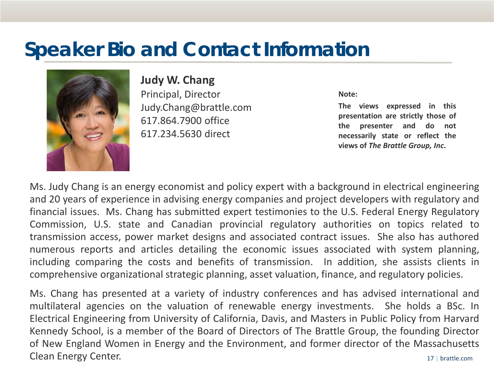### **Speaker Bio and Contact Information**



**Judy W. Chang**

Principal, Director Judy.Chang@brattle.com 617.864.7900 office 617.234.5630 direct

**Note:** 

**The views expressed in this presentation are strictly those of the presenter and do not necessarily state or reflect the views of** *The Brattle Group, Inc***.**

Ms. Judy Chang is an energy economist and policy expert with a background in electrical engineering and 20 years of experience in advising energy companies and project developers with regulatory and financial issues. Ms. Chang has submitted expert testimonies to the U.S. Federal Energy Regulatory Commission, U.S. state and Canadian provincial regulatory authorities on topics related to transmission access, power market designs and associated contract issues. She also has authored numerous reports and articles detailing the economic issues associated with system planning, including comparing the costs and benefits of transmission. In addition, she assists clients in comprehensive organizational strategic planning, asset valuation, finance, and regulatory policies.

17 | brattle.com Ms. Chang has presented at a variety of industry conferences and has advised international and multilateral agencies on the valuation of renewable energy investments. She holds a BSc. In Electrical Engineering from University of California, Davis, and Masters in Public Policy from Harvard Kennedy School, is a member of the Board of Directors of The Brattle Group, the founding Director of New England Women in Energy and the Environment, and former director of the Massachusetts Clean Energy Center.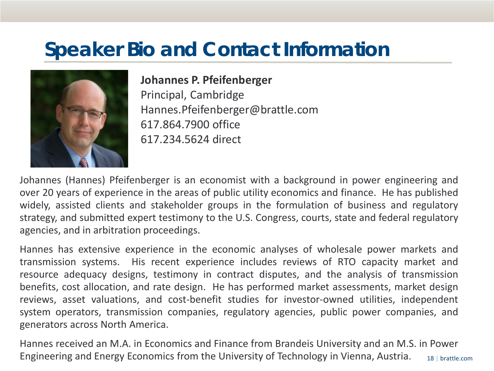### **Speaker Bio and Contact Information**



#### **Johannes P. Pfeifenberger**

Principal, Cambridge Hannes.Pfeifenberger@brattle.com 617.864.7900 office 617.234.5624 direct

Johannes (Hannes) Pfeifenberger is an economist with a background in power engineering and over 20 years of experience in the areas of public utility economics and finance. He has published widely, assisted clients and stakeholder groups in the formulation of business and regulatory strategy, and submitted expert testimony to the U.S. Congress, courts, state and federal regulatory agencies, and in arbitration proceedings.

Hannes has extensive experience in the economic analyses of wholesale power markets and transmission systems. His recent experience includes reviews of RTO capacity market and resource adequacy designs, testimony in contract disputes, and the analysis of transmission benefits, cost allocation, and rate design. He has performed market assessments, market design reviews, asset valuations, and cost-benefit studies for investor-owned utilities, independent system operators, transmission companies, regulatory agencies, public power companies, and generators across North America.

18 | brattle.com Hannes received an M.A. in Economics and Finance from Brandeis University and an M.S. in Power Engineering and Energy Economics from the University of Technology in Vienna, Austria.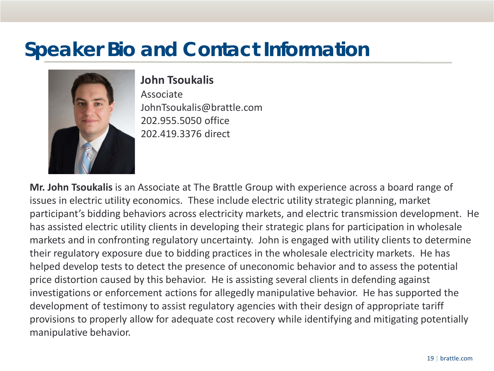### **Speaker Bio and Contact Information**



#### **John Tsoukalis**

Associate JohnTsoukalis@brattle.com 202.955.5050 office 202.419.3376 direct

**Mr. John Tsoukalis** is an Associate at The Brattle Group with experience across a board range of issues in electric utility economics. These include electric utility strategic planning, market participant's bidding behaviors across electricity markets, and electric transmission development. He has assisted electric utility clients in developing their strategic plans for participation in wholesale markets and in confronting regulatory uncertainty. John is engaged with utility clients to determine their regulatory exposure due to bidding practices in the wholesale electricity markets. He has helped develop tests to detect the presence of uneconomic behavior and to assess the potential price distortion caused by this behavior. He is assisting several clients in defending against investigations or enforcement actions for allegedly manipulative behavior. He has supported the development of testimony to assist regulatory agencies with their design of appropriate tariff provisions to properly allow for adequate cost recovery while identifying and mitigating potentially manipulative behavior.